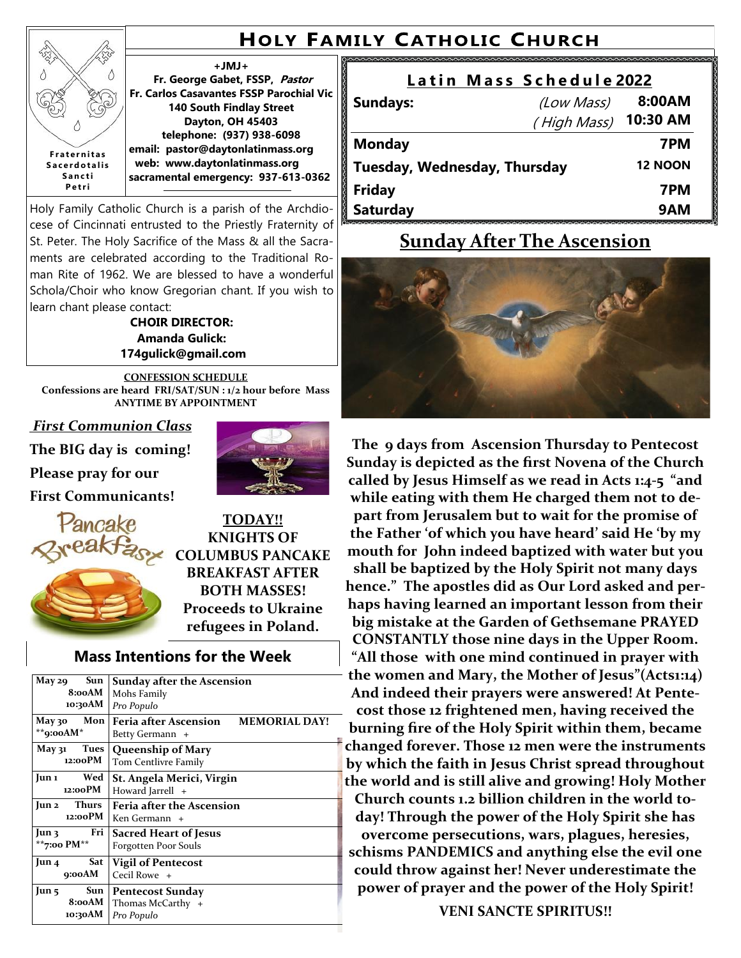## **HOLY FAMILY CATHOLIC CHURCH**

## E Δ **F r a t e r n i t a s S a c e r d o t a l i s S a n c t i P e t r i**

**+JMJ+ Fr. George Gabet, FSSP, Pastor Fr. Carlos Casavantes FSSP Parochial Vic 140 South Findlay Street Dayton, OH 45403 telephone: (937) 938-6098 email: pastor@daytonlatinmass.org web: www.daytonlatinmass.org sacramental emergency: 937-613-0362** 

Holy Family Catholic Church is a parish of the Archdiocese of Cincinnati entrusted to the Priestly Fraternity of St. Peter. The Holy Sacrifice of the Mass & all the Sacraments are celebrated according to the Traditional Roman Rite of 1962. We are blessed to have a wonderful Schola/Choir who know Gregorian chant. If you wish to learn chant please contact:

**CHOIR DIRECTOR: Amanda Gulick: 174gulick@gmail.com**

**CONFESSION SCHEDULE Confessions are heard FRI/SAT/SUN : 1/2 hour before Mass ANYTIME BY APPOINTMENT**

*First Communion Class*

**The BIG day is coming!** 

**Please pray for our**

**First Communicants!**





**TODAY!! KNIGHTS OF COLUMBUS PANCAKE BREAKFAST AFTER BOTH MASSES! Proceeds to Ukraine refugees in Poland.**

#### **Mass Intentions for the Week**

| Sun<br>May 29<br>8:00AM<br>10:30AM         | Sunday after the Ascension<br>Mohs Family<br>Pro Populo                 |
|--------------------------------------------|-------------------------------------------------------------------------|
| Mon<br>Мау зо<br>** $q$ :ooAM*             | <b>MEMORIAL DAY!</b><br><b>Feria after Ascension</b><br>Betty Germann + |
| Tues<br>May 31<br>12:00PM                  | Queenship of Mary<br>Tom Centlivre Family                               |
| Wed<br>Jun 1<br>12:00PM                    | St. Angela Merici, Virgin<br>Howard Jarrell +                           |
| <b>Thurs</b><br>Jun 2<br>12:00PM           | <b>Feria after the Ascension</b><br>Ken Germann +                       |
| Fri<br>Jun 3<br>**7:00 PM**                | <b>Sacred Heart of Jesus</b><br>Forgotten Poor Souls                    |
| Sat<br>Jun 4<br>9:00AM                     | <b>Vigil of Pentecost</b><br>Cecil Rowe +                               |
| Sun  <br>$\rm{Jun}$ 5<br>8:00AM<br>10:30AM | <b>Pentecost Sunday</b><br>Thomas McCarthy +<br>Pro Populo              |

| Latin Mass Schedule 2022     |                      |                |
|------------------------------|----------------------|----------------|
| <b>Sundays:</b>              | (Low Mass)           | 8:00AM         |
|                              | (High Mass) 10:30 AM |                |
| <b>Monday</b>                |                      | 7PM            |
| Tuesday, Wednesday, Thursday |                      | <b>12 NOON</b> |
| <b>Friday</b>                |                      | 7PM            |
| <b>Saturday</b>              |                      | 9AM            |

## **Sunday After The Ascension**



**The 9 days from Ascension Thursday to Pentecost Sunday is depicted as the first Novena of the Church called by Jesus Himself as we read in Acts 1:4-5 "and while eating with them He charged them not to depart from Jerusalem but to wait for the promise of the Father 'of which you have heard' said He 'by my mouth for John indeed baptized with water but you shall be baptized by the Holy Spirit not many days hence." The apostles did as Our Lord asked and perhaps having learned an important lesson from their big mistake at the Garden of Gethsemane PRAYED CONSTANTLY those nine days in the Upper Room. "All those with one mind continued in prayer with the women and Mary, the Mother of Jesus"(Acts1:14) And indeed their prayers were answered! At Pentecost those 12 frightened men, having received the burning fire of the Holy Spirit within them, became changed forever. Those 12 men were the instruments by which the faith in Jesus Christ spread throughout the world and is still alive and growing! Holy Mother Church counts 1.2 billion children in the world today! Through the power of the Holy Spirit she has overcome persecutions, wars, plagues, heresies, schisms PANDEMICS and anything else the evil one could throw against her! Never underestimate the power of prayer and the power of the Holy Spirit!**

**VENI SANCTE SPIRITUS!!**